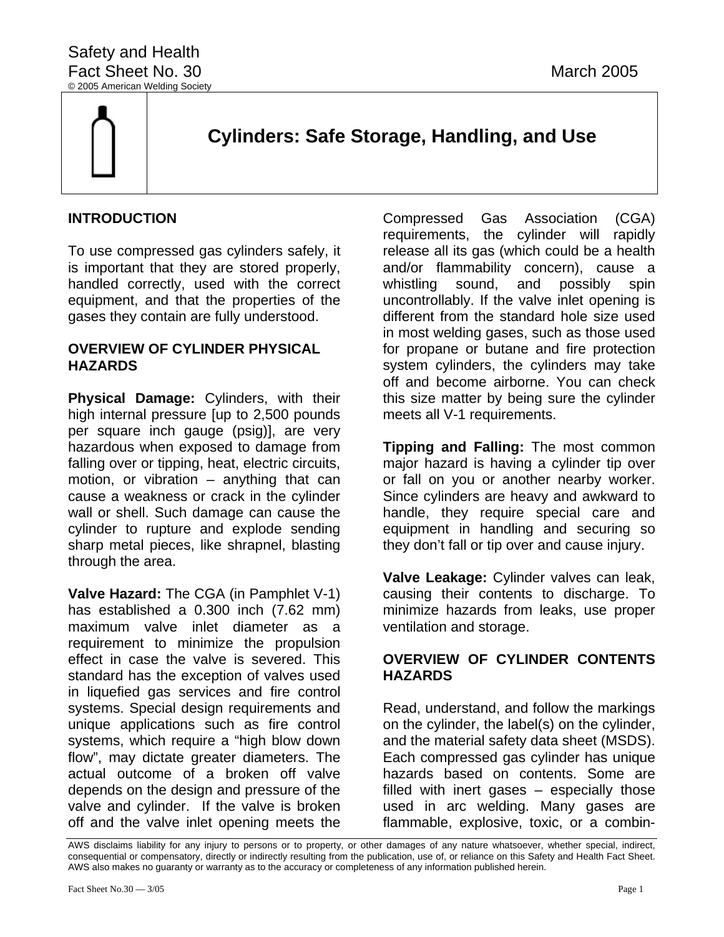

# **Cylinders: Safe Storage, Handling, and Use**

# **INTRODUCTION**

To use compressed gas cylinders safely, it is important that they are stored properly, handled correctly, used with the correct equipment, and that the properties of the gases they contain are fully understood.

# **OVERVIEW OF CYLINDER PHYSICAL HAZARDS**

**Physical Damage:** Cylinders, with their high internal pressure [up to 2,500 pounds per square inch gauge (psig)], are very hazardous when exposed to damage from falling over or tipping, heat, electric circuits, motion, or vibration – anything that can cause a weakness or crack in the cylinder wall or shell. Such damage can cause the cylinder to rupture and explode sending sharp metal pieces, like shrapnel, blasting through the area.

**Valve Hazard:** The CGA (in Pamphlet V-1) has established a 0.300 inch (7.62 mm) maximum valve inlet diameter as a requirement to minimize the propulsion effect in case the valve is severed. This standard has the exception of valves used in liquefied gas services and fire control systems. Special design requirements and unique applications such as fire control systems, which require a "high blow down flow", may dictate greater diameters. The actual outcome of a broken off valve depends on the design and pressure of the valve and cylinder. If the valve is broken off and the valve inlet opening meets the

Compressed Gas Association (CGA) requirements, the cylinder will rapidly release all its gas (which could be a health and/or flammability concern), cause a whistling sound, and possibly spin uncontrollably. If the valve inlet opening is different from the standard hole size used in most welding gases, such as those used for propane or butane and fire protection system cylinders, the cylinders may take off and become airborne. You can check this size matter by being sure the cylinder meets all V-1 requirements.

**Tipping and Falling:** The most common major hazard is having a cylinder tip over or fall on you or another nearby worker. Since cylinders are heavy and awkward to handle, they require special care and equipment in handling and securing so they don't fall or tip over and cause injury.

**Valve Leakage:** Cylinder valves can leak, causing their contents to discharge. To minimize hazards from leaks, use proper ventilation and storage.

# **OVERVIEW OF CYLINDER CONTENTS HAZARDS**

Read, understand, and follow the markings on the cylinder, the label(s) on the cylinder, and the material safety data sheet (MSDS). Each compressed gas cylinder has unique hazards based on contents. Some are filled with inert gases – especially those used in arc welding. Many gases are flammable, explosive, toxic, or a combin-

AWS disclaims liability for any injury to persons or to property, or other damages of any nature whatsoever, whether special, indirect, consequential or compensatory, directly or indirectly resulting from the publication, use of, or reliance on this Safety and Health Fact Sheet. AWS also makes no guaranty or warranty as to the accuracy or completeness of any information published herein.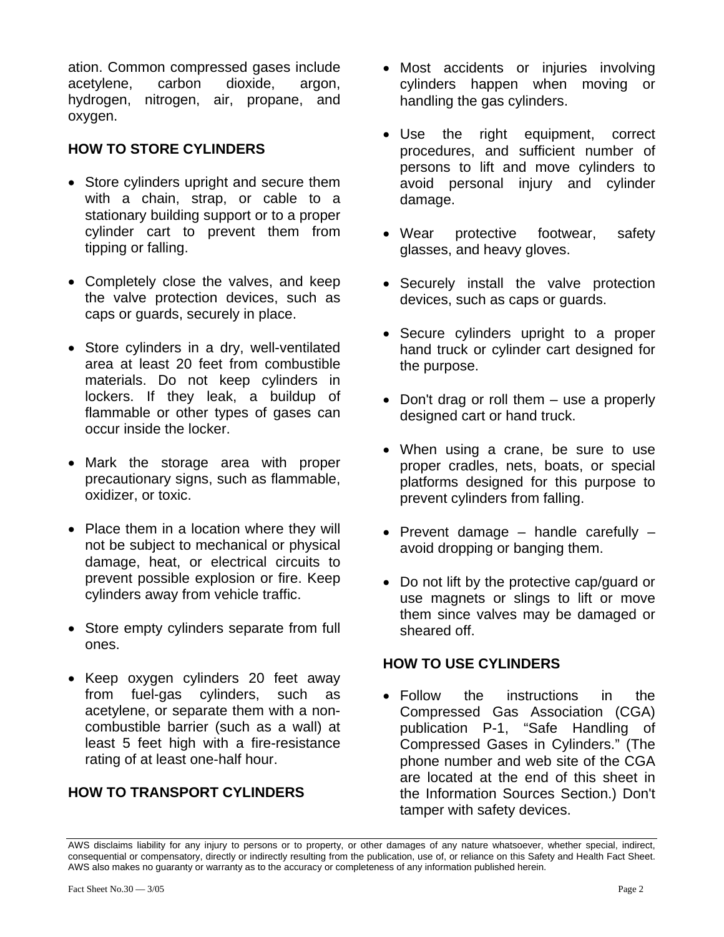ation. Common compressed gases include acetylene, carbon dioxide, argon, hydrogen, nitrogen, air, propane, and oxygen.

# **HOW TO STORE CYLINDERS**

- Store cylinders upright and secure them with a chain, strap, or cable to a stationary building support or to a proper cylinder cart to prevent them from tipping or falling.
- Completely close the valves, and keep the valve protection devices, such as caps or guards, securely in place.
- Store cylinders in a dry, well-ventilated area at least 20 feet from combustible materials. Do not keep cylinders in lockers. If they leak, a buildup of flammable or other types of gases can occur inside the locker.
- Mark the storage area with proper precautionary signs, such as flammable, oxidizer, or toxic.
- Place them in a location where they will not be subject to mechanical or physical damage, heat, or electrical circuits to prevent possible explosion or fire. Keep cylinders away from vehicle traffic.
- Store empty cylinders separate from full ones.
- Keep oxygen cylinders 20 feet away from fuel-gas cylinders, such as acetylene, or separate them with a noncombustible barrier (such as a wall) at least 5 feet high with a fire-resistance rating of at least one-half hour.

# **HOW TO TRANSPORT CYLINDERS**

- Most accidents or injuries involving cylinders happen when moving or handling the gas cylinders.
- Use the right equipment, correct procedures, and sufficient number of persons to lift and move cylinders to avoid personal injury and cylinder damage.
- Wear protective footwear, safety glasses, and heavy gloves.
- Securely install the valve protection devices, such as caps or guards.
- Secure cylinders upright to a proper hand truck or cylinder cart designed for the purpose.
- Don't drag or roll them use a properly designed cart or hand truck.
- When using a crane, be sure to use proper cradles, nets, boats, or special platforms designed for this purpose to prevent cylinders from falling.
- Prevent damage handle carefully avoid dropping or banging them.
- Do not lift by the protective cap/guard or use magnets or slings to lift or move them since valves may be damaged or sheared off.

# **HOW TO USE CYLINDERS**

• Follow the instructions in the Compressed Gas Association (CGA) publication P-1, "Safe Handling of Compressed Gases in Cylinders." (The phone number and web site of the CGA are located at the end of this sheet in the Information Sources Section.) Don't tamper with safety devices.

AWS disclaims liability for any injury to persons or to property, or other damages of any nature whatsoever, whether special, indirect, consequential or compensatory, directly or indirectly resulting from the publication, use of, or reliance on this Safety and Health Fact Sheet. AWS also makes no guaranty or warranty as to the accuracy or completeness of any information published herein.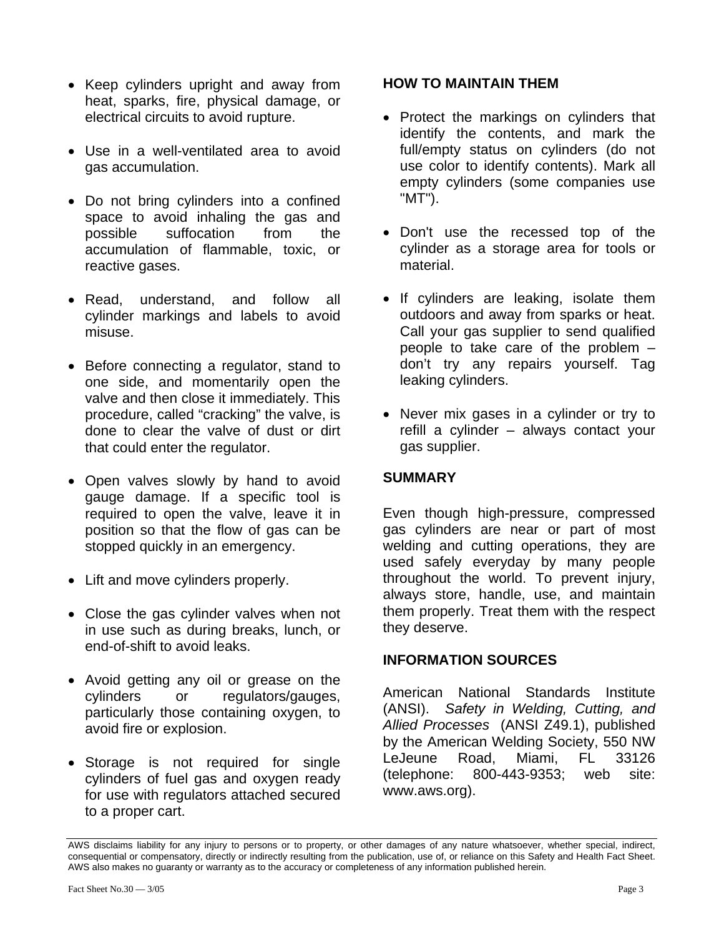- Keep cylinders upright and away from heat, sparks, fire, physical damage, or electrical circuits to avoid rupture.
- Use in a well-ventilated area to avoid gas accumulation.
- Do not bring cylinders into a confined space to avoid inhaling the gas and possible suffocation from the accumulation of flammable, toxic, or reactive gases.
- Read, understand, and follow all cylinder markings and labels to avoid misuse.
- Before connecting a regulator, stand to one side, and momentarily open the valve and then close it immediately. This procedure, called "cracking" the valve, is done to clear the valve of dust or dirt that could enter the regulator.
- Open valves slowly by hand to avoid gauge damage. If a specific tool is required to open the valve, leave it in position so that the flow of gas can be stopped quickly in an emergency.
- Lift and move cylinders properly.
- Close the gas cylinder valves when not in use such as during breaks, lunch, or end-of-shift to avoid leaks.
- Avoid getting any oil or grease on the cylinders or regulators/gauges, particularly those containing oxygen, to avoid fire or explosion.
- Storage is not required for single cylinders of fuel gas and oxygen ready for use with regulators attached secured to a proper cart.

#### **HOW TO MAINTAIN THEM**

- Protect the markings on cylinders that identify the contents, and mark the full/empty status on cylinders (do not use color to identify contents). Mark all empty cylinders (some companies use "MT").
- Don't use the recessed top of the cylinder as a storage area for tools or material.
- If cylinders are leaking, isolate them outdoors and away from sparks or heat. Call your gas supplier to send qualified people to take care of the problem – don't try any repairs yourself. Tag leaking cylinders.
- Never mix gases in a cylinder or try to refill a cylinder – always contact your gas supplier.

# **SUMMARY**

Even though high-pressure, compressed gas cylinders are near or part of most welding and cutting operations, they are used safely everyday by many people throughout the world. To prevent injury, always store, handle, use, and maintain them properly. Treat them with the respect they deserve.

# **INFORMATION SOURCES**

American National Standards Institute (ANSI). *Safety in Welding, Cutting, and Allied Processes* (ANSI Z49.1), published by the American Welding Society, 550 NW LeJeune Road, Miami, FL 33126 (telephone: 800-443-9353; web site: www.aws.org).

AWS disclaims liability for any injury to persons or to property, or other damages of any nature whatsoever, whether special, indirect, consequential or compensatory, directly or indirectly resulting from the publication, use of, or reliance on this Safety and Health Fact Sheet. AWS also makes no guaranty or warranty as to the accuracy or completeness of any information published herein.